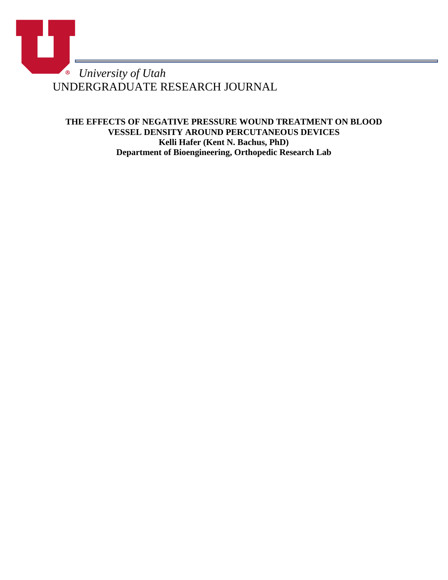

**THE EFFECTS OF NEGATIVE PRESSURE WOUND TREATMENT ON BLOOD VESSEL DENSITY AROUND PERCUTANEOUS DEVICES Kelli Hafer (Kent N. Bachus, PhD) Department of Bioengineering, Orthopedic Research Lab**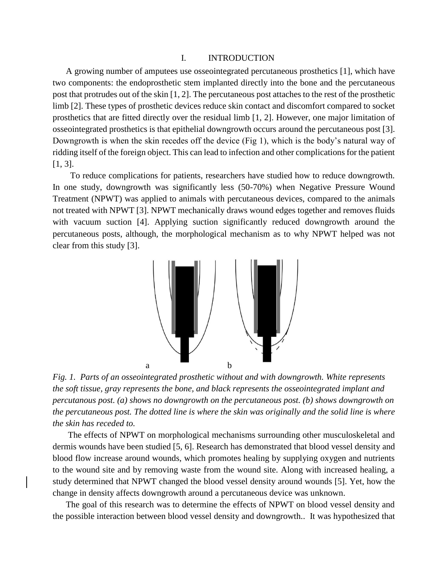## I. INTRODUCTION

A growing number of amputees use osseointegrated percutaneous prosthetics [1], which have two components: the endoprosthetic stem implanted directly into the bone and the percutaneous post that protrudes out of the skin [1, 2]. The percutaneous post attaches to the rest of the prosthetic limb [2]. These types of prosthetic devices reduce skin contact and discomfort compared to socket prosthetics that are fitted directly over the residual limb [1, 2]. However, one major limitation of osseointegrated prosthetics is that epithelial downgrowth occurs around the percutaneous post [3]. Downgrowth is when the skin recedes off the device (Fig 1), which is the body's natural way of ridding itself of the foreign object. This can lead to infection and other complications for the patient [1, 3].

 To reduce complications for patients, researchers have studied how to reduce downgrowth. In one study, downgrowth was significantly less (50-70%) when Negative Pressure Wound Treatment (NPWT) was applied to animals with percutaneous devices, compared to the animals not treated with NPWT [3]. NPWT mechanically draws wound edges together and removes fluids with vacuum suction [4]. Applying suction significantly reduced downgrowth around the percutaneous posts, although, the morphological mechanism as to why NPWT helped was not clear from this study [3].



*Fig. 1. Parts of an osseointegrated prosthetic without and with downgrowth. White represents the soft tissue, gray represents the bone, and black represents the osseointegrated implant and percutanous post. (a) shows no downgrowth on the percutaneous post. (b) shows downgrowth on the percutaneous post. The dotted line is where the skin was originally and the solid line is where the skin has receded to.*

 The effects of NPWT on morphological mechanisms surrounding other musculoskeletal and dermis wounds have been studied [5, 6]. Research has demonstrated that blood vessel density and blood flow increase around wounds, which promotes healing by supplying oxygen and nutrients to the wound site and by removing waste from the wound site. Along with increased healing, a study determined that NPWT changed the blood vessel density around wounds [5]. Yet, how the change in density affects downgrowth around a percutaneous device was unknown.

The goal of this research was to determine the effects of NPWT on blood vessel density and the possible interaction between blood vessel density and downgrowth.. It was hypothesized that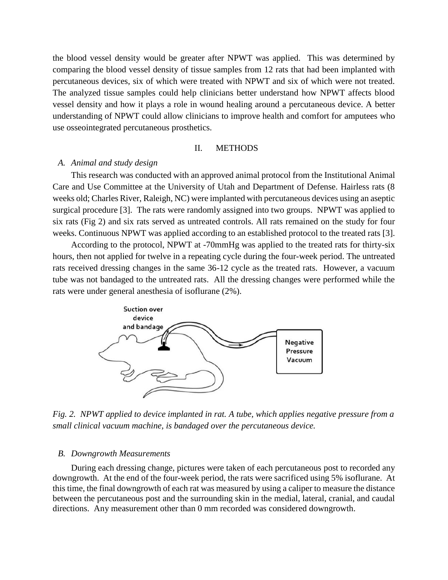the blood vessel density would be greater after NPWT was applied. This was determined by comparing the blood vessel density of tissue samples from 12 rats that had been implanted with percutaneous devices, six of which were treated with NPWT and six of which were not treated. The analyzed tissue samples could help clinicians better understand how NPWT affects blood vessel density and how it plays a role in wound healing around a percutaneous device. A better understanding of NPWT could allow clinicians to improve health and comfort for amputees who use osseointegrated percutaneous prosthetics.

## II. METHODS

## *A. Animal and study design*

This research was conducted with an approved animal protocol from the Institutional Animal Care and Use Committee at the University of Utah and Department of Defense. Hairless rats (8 weeks old; Charles River, Raleigh, NC) were implanted with percutaneous devices using an aseptic surgical procedure [3]. The rats were randomly assigned into two groups. NPWT was applied to six rats (Fig 2) and six rats served as untreated controls. All rats remained on the study for four weeks. Continuous NPWT was applied according to an established protocol to the treated rats [3].

According to the protocol, NPWT at -70mmHg was applied to the treated rats for thirty-six hours, then not applied for twelve in a repeating cycle during the four-week period. The untreated rats received dressing changes in the same 36-12 cycle as the treated rats. However, a vacuum tube was not bandaged to the untreated rats. All the dressing changes were performed while the rats were under general anesthesia of isoflurane (2%).



*Fig. 2. NPWT applied to device implanted in rat. A tube, which applies negative pressure from a small clinical vacuum machine, is bandaged over the percutaneous device.*

#### *B. Downgrowth Measurements*

During each dressing change, pictures were taken of each percutaneous post to recorded any downgrowth. At the end of the four-week period, the rats were sacrificed using 5% isoflurane. At this time, the final downgrowth of each rat was measured by using a caliper to measure the distance between the percutaneous post and the surrounding skin in the medial, lateral, cranial, and caudal directions. Any measurement other than 0 mm recorded was considered downgrowth.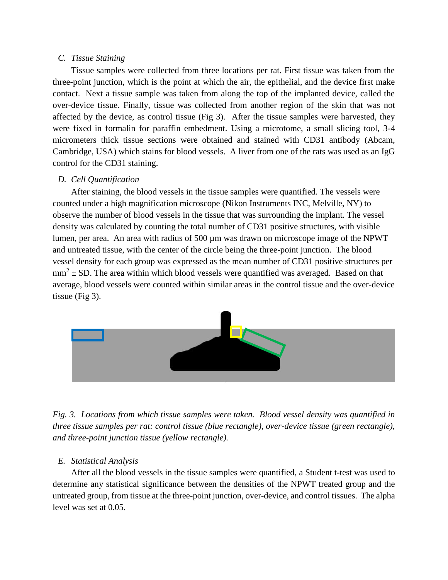## *C. Tissue Staining*

Tissue samples were collected from three locations per rat. First tissue was taken from the three-point junction, which is the point at which the air, the epithelial, and the device first make contact. Next a tissue sample was taken from along the top of the implanted device, called the over-device tissue. Finally, tissue was collected from another region of the skin that was not affected by the device, as control tissue (Fig 3). After the tissue samples were harvested, they were fixed in formalin for paraffin embedment. Using a microtome, a small slicing tool, 3-4 micrometers thick tissue sections were obtained and stained with CD31 antibody (Abcam, Cambridge, USA) which stains for blood vessels. A liver from one of the rats was used as an IgG control for the CD31 staining.

# *D. Cell Quantification*

After staining, the blood vessels in the tissue samples were quantified. The vessels were counted under a high magnification microscope (Nikon Instruments INC, Melville, NY) to observe the number of blood vessels in the tissue that was surrounding the implant. The vessel density was calculated by counting the total number of CD31 positive structures, with visible lumen, per area. An area with radius of 500 µm was drawn on microscope image of the NPWT and untreated tissue, with the center of the circle being the three-point junction. The blood vessel density for each group was expressed as the mean number of CD31 positive structures per  $mm<sup>2</sup> \pm SD$ . The area within which blood vessels were quantified was averaged. Based on that average, blood vessels were counted within similar areas in the control tissue and the over-device tissue (Fig 3).



*Fig. 3. Locations from which tissue samples were taken. Blood vessel density was quantified in three tissue samples per rat: control tissue (blue rectangle), over-device tissue (green rectangle), and three-point junction tissue (yellow rectangle).* 

# *E. Statistical Analysis*

After all the blood vessels in the tissue samples were quantified, a Student t-test was used to determine any statistical significance between the densities of the NPWT treated group and the untreated group, from tissue at the three-point junction, over-device, and control tissues. The alpha level was set at 0.05.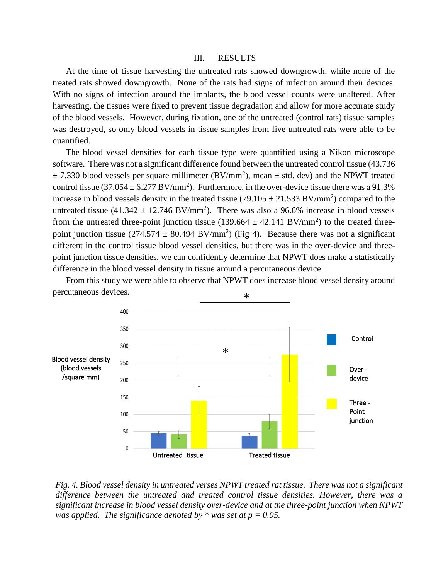### III. RESULTS

At the time of tissue harvesting the untreated rats showed downgrowth, while none of the treated rats showed downgrowth. None of the rats had signs of infection around their devices. With no signs of infection around the implants, the blood vessel counts were unaltered. After harvesting, the tissues were fixed to prevent tissue degradation and allow for more accurate study of the blood vessels. However, during fixation, one of the untreated (control rats) tissue samples was destroyed, so only blood vessels in tissue samples from five untreated rats were able to be quantified.

The blood vessel densities for each tissue type were quantified using a Nikon microscope software. There was not a significant difference found between the untreated control tissue (43.736  $\pm$  7.330 blood vessels per square millimeter (BV/mm<sup>2</sup>), mean  $\pm$  std. dev) and the NPWT treated control tissue (37.054  $\pm$  6.277 BV/mm<sup>2</sup>). Furthermore, in the over-device tissue there was a 91.3% increase in blood vessels density in the treated tissue  $(79.105 \pm 21.533 \text{ BV/mm}^2)$  compared to the untreated tissue  $(41.342 \pm 12.746 \text{ BV/mm}^2)$ . There was also a 96.6% increase in blood vessels from the untreated three-point junction tissue (139.664  $\pm$  42.141 BV/mm<sup>2</sup>) to the treated threepoint junction tissue  $(274.574 \pm 80.494 \text{ BV/mm}^2)$  (Fig 4). Because there was not a significant different in the control tissue blood vessel densities, but there was in the over-device and threepoint junction tissue densities, we can confidently determine that NPWT does make a statistically difference in the blood vessel density in tissue around a percutaneous device.



From this study we were able to observe that NPWT does increase blood vessel density around percutaneous devices.

*Fig. 4. Blood vessel density in untreated verses NPWT treated rat tissue. There was not a significant difference between the untreated and treated control tissue densities. However, there was a significant increase in blood vessel density over-device and at the three-point junction when NPWT was applied. The significance denoted by \* was set at p = 0.05.*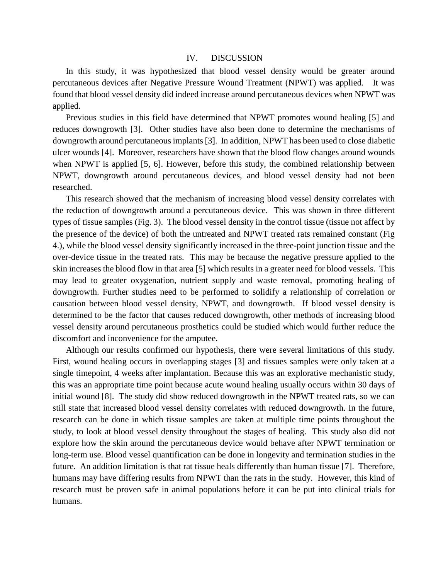### IV. DISCUSSION

In this study, it was hypothesized that blood vessel density would be greater around percutaneous devices after Negative Pressure Wound Treatment (NPWT) was applied. It was found that blood vessel density did indeed increase around percutaneous devices when NPWT was applied.

Previous studies in this field have determined that NPWT promotes wound healing [5] and reduces downgrowth [3]. Other studies have also been done to determine the mechanisms of downgrowth around percutaneous implants [3]. In addition, NPWT has been used to close diabetic ulcer wounds [4]. Moreover, researchers have shown that the blood flow changes around wounds when NPWT is applied [5, 6]. However, before this study, the combined relationship between NPWT, downgrowth around percutaneous devices, and blood vessel density had not been researched.

This research showed that the mechanism of increasing blood vessel density correlates with the reduction of downgrowth around a percutaneous device. This was shown in three different types of tissue samples (Fig. 3). The blood vessel density in the control tissue (tissue not affect by the presence of the device) of both the untreated and NPWT treated rats remained constant (Fig 4.), while the blood vessel density significantly increased in the three-point junction tissue and the over-device tissue in the treated rats. This may be because the negative pressure applied to the skin increases the blood flow in that area [5] which results in a greater need for blood vessels. This may lead to greater oxygenation, nutrient supply and waste removal, promoting healing of downgrowth. Further studies need to be performed to solidify a relationship of correlation or causation between blood vessel density, NPWT, and downgrowth. If blood vessel density is determined to be the factor that causes reduced downgrowth, other methods of increasing blood vessel density around percutaneous prosthetics could be studied which would further reduce the discomfort and inconvenience for the amputee.

Although our results confirmed our hypothesis, there were several limitations of this study. First, wound healing occurs in overlapping stages [3] and tissues samples were only taken at a single timepoint, 4 weeks after implantation. Because this was an explorative mechanistic study, this was an appropriate time point because acute wound healing usually occurs within 30 days of initial wound [8]. The study did show reduced downgrowth in the NPWT treated rats, so we can still state that increased blood vessel density correlates with reduced downgrowth. In the future, research can be done in which tissue samples are taken at multiple time points throughout the study, to look at blood vessel density throughout the stages of healing. This study also did not explore how the skin around the percutaneous device would behave after NPWT termination or long-term use. Blood vessel quantification can be done in longevity and termination studies in the future. An addition limitation is that rat tissue heals differently than human tissue [7]. Therefore, humans may have differing results from NPWT than the rats in the study. However, this kind of research must be proven safe in animal populations before it can be put into clinical trials for humans.